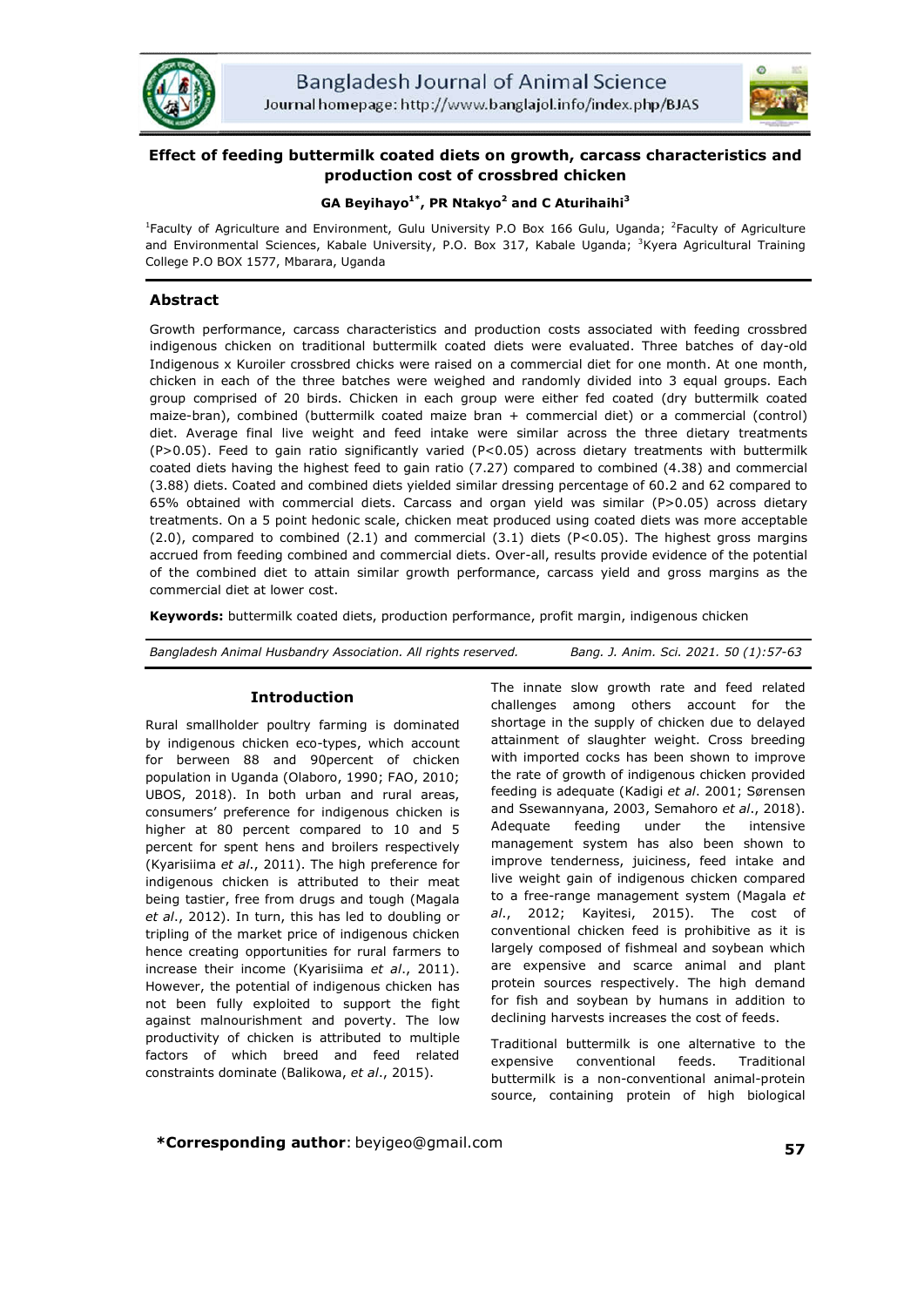



# **Effect of feeding buttermilk coated diets on growth, carcass characteristics and production cost of crossbred chicken**

# **GA Beyihayo1\*, PR Ntakyo2 and C Aturihaihi<sup>3</sup>**

<sup>1</sup>Faculty of Agriculture and Environment, Gulu University P.O Box 166 Gulu, Uganda; <sup>2</sup>Faculty of Agriculture and Environmental Sciences, Kabale University, P.O. Box 317, Kabale Uganda; <sup>3</sup>Kyera Agricultural Training College P.O BOX 1577, Mbarara, Uganda

# **Abstract**

Growth performance, carcass characteristics and production costs associated with feeding crossbred indigenous chicken on traditional buttermilk coated diets were evaluated. Three batches of day-old Indigenous x Kuroiler crossbred chicks were raised on a commercial diet for one month. At one month, chicken in each of the three batches were weighed and randomly divided into 3 equal groups. Each group comprised of 20 birds. Chicken in each group were either fed coated (dry buttermilk coated maize-bran), combined (buttermilk coated maize bran + commercial diet) or a commercial (control) diet. Average final live weight and feed intake were similar across the three dietary treatments (P>0.05). Feed to gain ratio significantly varied (P<0.05) across dietary treatments with buttermilk coated diets having the highest feed to gain ratio (7.27) compared to combined (4.38) and commercial (3.88) diets. Coated and combined diets yielded similar dressing percentage of 60.2 and 62 compared to 65% obtained with commercial diets. Carcass and organ yield was similar (P>0.05) across dietary treatments. On a 5 point hedonic scale, chicken meat produced using coated diets was more acceptable (2.0), compared to combined (2.1) and commercial (3.1) diets (P<0.05). The highest gross margins accrued from feeding combined and commercial diets. Over-all, results provide evidence of the potential of the combined diet to attain similar growth performance, carcass yield and gross margins as the commercial diet at lower cost.

**Keywords:** buttermilk coated diets, production performance, profit margin, indigenous chicken

# **Introduction**

Rural smallholder poultry farming is dominated by indigenous chicken eco-types, which account for berween 88 and 90percent of chicken population in Uganda (Olaboro, 1990; FAO, 2010; UBOS, 2018). In both urban and rural areas, consumers' preference for indigenous chicken is higher at 80 percent compared to 10 and 5 percent for spent hens and broilers respectively (Kyarisiima *et al*., 2011). The high preference for indigenous chicken is attributed to their meat being tastier, free from drugs and tough (Magala *et al*., 2012). In turn, this has led to doubling or tripling of the market price of indigenous chicken hence creating opportunities for rural farmers to increase their income (Kyarisiima *et al*., 2011). However, the potential of indigenous chicken has not been fully exploited to support the fight against malnourishment and poverty. The low productivity of chicken is attributed to multiple factors of which breed and feed related constraints dominate (Balikowa, *et al*., 2015).

The innate slow growth rate and feed related challenges among others account for the shortage in the supply of chicken due to delayed attainment of slaughter weight. Cross breeding with imported cocks has been shown to improve the rate of growth of indigenous chicken provided feeding is adequate (Kadigi *et al*. 2001; Sørensen and Ssewannyana, 2003, Semahoro *et al*., 2018). Adequate feeding under the intensive management system has also been shown to improve tenderness, juiciness, feed intake and live weight gain of indigenous chicken compared to a free-range management system (Magala *et al*., 2012; Kayitesi, 2015). The cost of conventional chicken feed is prohibitive as it is largely composed of fishmeal and soybean which are expensive and scarce animal and plant protein sources respectively. The high demand for fish and soybean by humans in addition to declining harvests increases the cost of feeds.

Traditional buttermilk is one alternative to the expensive conventional feeds. Traditional buttermilk is a non-conventional animal-protein source, containing protein of high biological

**\*Corresponding author**: beyigeo@gmail.com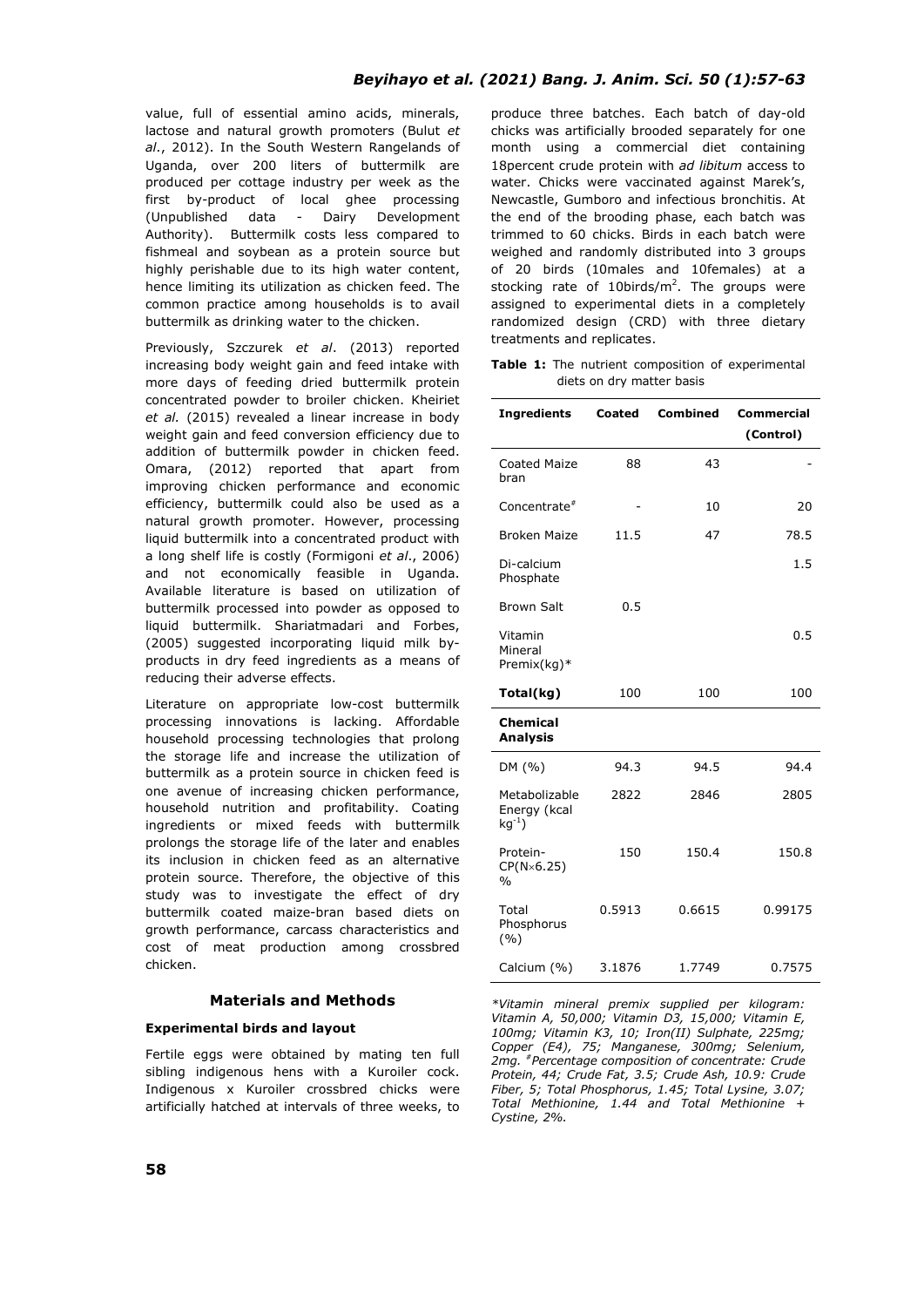value, full of essential amino acids, minerals, lactose and natural growth promoters (Bulut *et al*., 2012). In the South Western Rangelands of Uganda, over 200 liters of buttermilk are produced per cottage industry per week as the first by-product of local ghee processing (Unpublished data - Dairy Development Authority). Buttermilk costs less compared to fishmeal and soybean as a protein source but highly perishable due to its high water content, hence limiting its utilization as chicken feed. The common practice among households is to avail buttermilk as drinking water to the chicken.

Previously, Szczurek *et al*. (2013) reported increasing body weight gain and feed intake with more days of feeding dried buttermilk protein concentrated powder to broiler chicken. Kheiriet *et al.* (2015) revealed a linear increase in body weight gain and feed conversion efficiency due to addition of buttermilk powder in chicken feed. Omara, (2012) reported that apart from improving chicken performance and economic efficiency, buttermilk could also be used as a natural growth promoter. However, processing liquid buttermilk into a concentrated product with a long shelf life is costly (Formigoni *et al*., 2006) and not economically feasible in Uganda. Available literature is based on utilization of buttermilk processed into powder as opposed to liquid buttermilk. Shariatmadari and Forbes, (2005) suggested incorporating liquid milk byproducts in dry feed ingredients as a means of reducing their adverse effects.

Literature on appropriate low-cost buttermilk processing innovations is lacking. Affordable household processing technologies that prolong the storage life and increase the utilization of buttermilk as a protein source in chicken feed is one avenue of increasing chicken performance, household nutrition and profitability. Coating ingredients or mixed feeds with buttermilk prolongs the storage life of the later and enables its inclusion in chicken feed as an alternative protein source. Therefore, the objective of this study was to investigate the effect of dry buttermilk coated maize-bran based diets on growth performance, carcass characteristics and cost of meat production among crossbred chicken.

# **Materials and Methods**

# **Experimental birds and layout**

Fertile eggs were obtained by mating ten full sibling indigenous hens with a Kuroiler cock. Indigenous x Kuroiler crossbred chicks were artificially hatched at intervals of three weeks, to produce three batches. Each batch of day-old chicks was artificially brooded separately for one month using a commercial diet containing 18percent crude protein with *ad libitum* access to water. Chicks were vaccinated against Marek's, Newcastle, Gumboro and infectious bronchitis. At the end of the brooding phase, each batch was trimmed to 60 chicks. Birds in each batch were weighed and randomly distributed into 3 groups of 20 birds (10males and 10females) at a stocking rate of 10birds/ $m^2$ . The groups were assigned to experimental diets in a completely randomized design (CRD) with three dietary treatments and replicates.

**Table 1:** The nutrient composition of experimental diets on dry matter basis

| <b>Ingredients</b>                         | Coated | <b>Combined</b> | Commercial |  |
|--------------------------------------------|--------|-----------------|------------|--|
|                                            |        |                 | (Control)  |  |
| Coated Maize<br>bran                       | 88     | 43              |            |  |
| Concentrate <sup>#</sup>                   |        | 10              | 20         |  |
| <b>Broken Maize</b>                        | 11.5   | 47              | 78.5       |  |
| Di-calcium<br>Phosphate                    |        |                 | 1.5        |  |
| <b>Brown Salt</b>                          | 0.5    |                 |            |  |
| Vitamin<br>Mineral<br>Premix(kg)*          |        |                 | 0.5        |  |
| Total(kg)                                  | 100    | 100             | 100        |  |
| <b>Chemical</b><br><b>Analysis</b>         |        |                 |            |  |
| DM (%)                                     | 94.3   | 94.5            | 94.4       |  |
| Metabolizable<br>Energy (kcal<br>$ka^{-1}$ | 2822   | 2846            | 2805       |  |
| Protein-<br>CP(N×6.25)<br>$\frac{0}{0}$    | 150    | 150.4           | 150.8      |  |
| Total<br>Phosphorus<br>(9/0)               | 0.5913 | 0.6615          | 0.99175    |  |
| Calcium (%)                                | 3.1876 | 1.7749          | 0.7575     |  |

*\*Vitamin mineral premix supplied per kilogram: Vitamin A, 50,000; Vitamin D3, 15,000; Vitamin E, 100mg; Vitamin K3, 10; Iron(II) Sulphate, 225mg; Copper (E4), 75; Manganese, 300mg; Selenium, 2mg. #Percentage composition of concentrate: Crude Protein, 44; Crude Fat, 3.5; Crude Ash, 10.9: Crude Fiber, 5; Total Phosphorus, 1.45; Total Lysine, 3.07; Total Methionine, 1.44 and Total Methionine + Cystine, 2%.*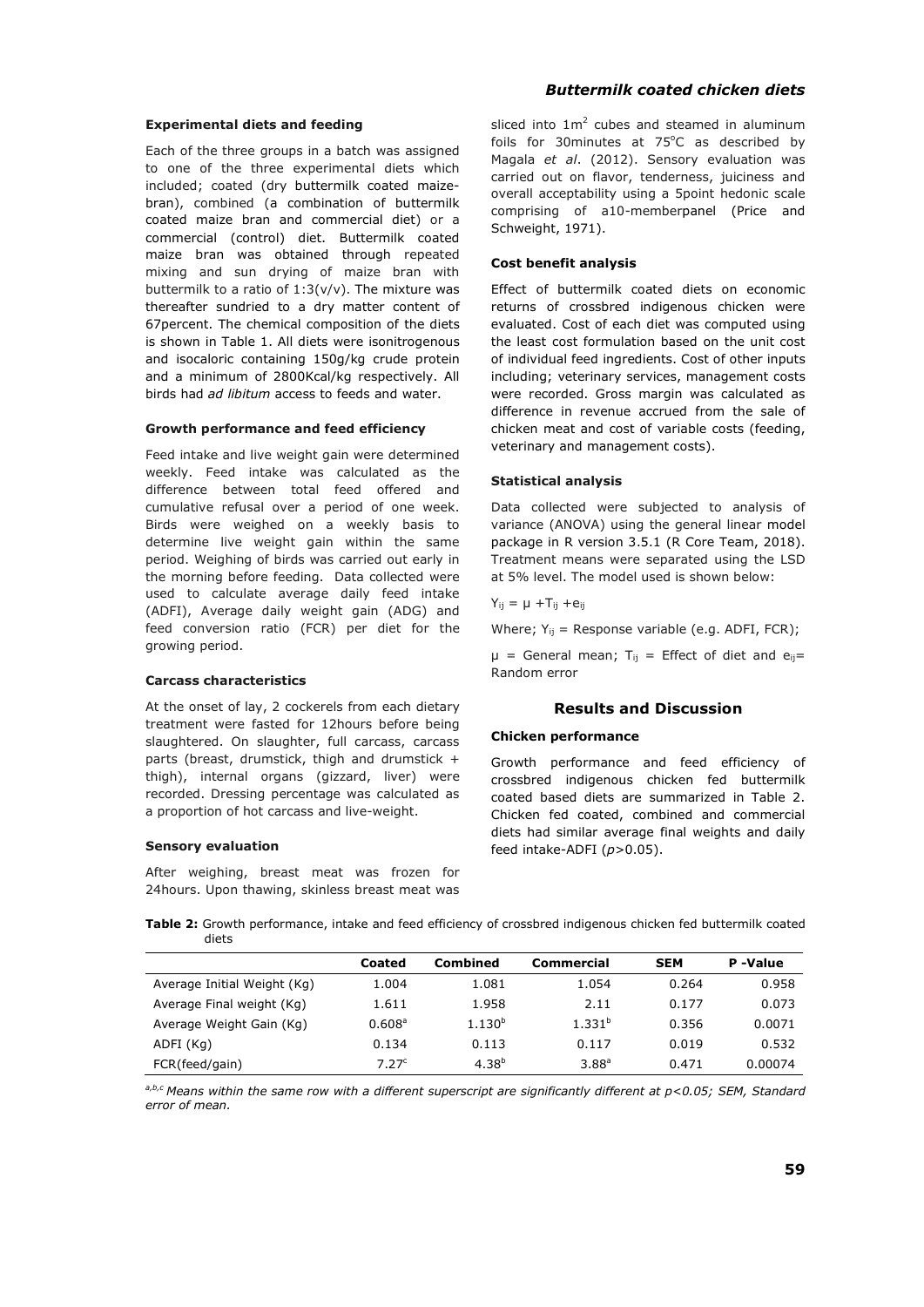#### **Experimental diets and feeding**

Each of the three groups in a batch was assigned to one of the three experimental diets which included; coated (dry buttermilk coated maizebran), combined (a combination of buttermilk coated maize bran and commercial diet) or a commercial (control) diet. Buttermilk coated maize bran was obtained through repeated mixing and sun drying of maize bran with buttermilk to a ratio of  $1:3(v/v)$ . The mixture was thereafter sundried to a dry matter content of 67percent. The chemical composition of the diets is shown in Table 1. All diets were isonitrogenous and isocaloric containing 150g/kg crude protein and a minimum of 2800Kcal/kg respectively. All birds had *ad libitum* access to feeds and water.

#### **Growth performance and feed efficiency**

Feed intake and live weight gain were determined weekly. Feed intake was calculated as the difference between total feed offered and cumulative refusal over a period of one week. Birds were weighed on a weekly basis to determine live weight gain within the same period. Weighing of birds was carried out early in the morning before feeding. Data collected were used to calculate average daily feed intake (ADFI), Average daily weight gain (ADG) and feed conversion ratio (FCR) per diet for the growing period.

# **Carcass characteristics**

At the onset of lay, 2 cockerels from each dietary treatment were fasted for 12hours before being slaughtered. On slaughter, full carcass, carcass parts (breast, drumstick, thigh and drumstick + thigh), internal organs (gizzard, liver) were recorded. Dressing percentage was calculated as a proportion of hot carcass and live-weight.

#### **Sensory evaluation**

After weighing, breast meat was frozen for 24hours. Upon thawing, skinless breast meat was

# *Buttermilk coated chicken diets*

sliced into  $1m^2$  cubes and steamed in aluminum foils for 30minutes at 75°C as described by Magala *et al*. (2012). Sensory evaluation was carried out on flavor, tenderness, juiciness and overall acceptability using a 5point hedonic scale comprising of a10-memberpanel (Price and Schweight, 1971).

#### **Cost benefit analysis**

Effect of buttermilk coated diets on economic returns of crossbred indigenous chicken were evaluated. Cost of each diet was computed using the least cost formulation based on the unit cost of individual feed ingredients. Cost of other inputs including; veterinary services, management costs were recorded. Gross margin was calculated as difference in revenue accrued from the sale of chicken meat and cost of variable costs (feeding, veterinary and management costs).

#### **Statistical analysis**

Data collected were subjected to analysis of variance (ANOVA) using the general linear model package in R version 3.5.1 (R Core Team, 2018). Treatment means were separated using the LSD at 5% level. The model used is shown below:

$$
Y_{ij} = \mu + T_{ij} + e_{ij}
$$

Where;  $Y_{ii}$  = Response variable (e.g. ADFI, FCR);

 $\mu$  = General mean; T<sub>ij</sub> = Effect of diet and e<sub>ij</sub>= Random error

# **Results and Discussion**

#### **Chicken performance**

Growth performance and feed efficiency of crossbred indigenous chicken fed buttermilk coated based diets are summarized in Table 2. Chicken fed coated, combined and commercial diets had similar average final weights and daily feed intake-ADFI (*p*>0.05).

**Table 2:** Growth performance, intake and feed efficiency of crossbred indigenous chicken fed buttermilk coated diets

|                             | Coated            | Combined    | Commercial  | <b>SEM</b> | P-Value |
|-----------------------------|-------------------|-------------|-------------|------------|---------|
| Average Initial Weight (Kg) | 1.004             | 1.081       | 1.054       | 0.264      | 0.958   |
| Average Final weight (Kg)   | 1.611             | 1.958       | 2.11        | 0.177      | 0.073   |
| Average Weight Gain (Kg)    | $0.608^{\circ}$   | $1.130^{b}$ | $1.331^{b}$ | 0.356      | 0.0071  |
| ADFI (Kg)                   | 0.134             | 0.113       | 0.117       | 0.019      | 0.532   |
| FCR(feed/gain)              | 7.27 <sup>c</sup> | $4.38^{b}$  | $3.88^{a}$  | 0.471      | 0.00074 |

*a,b,c Means within the same row with a different superscript are significantly different at p<0.05; SEM, Standard error of mean.*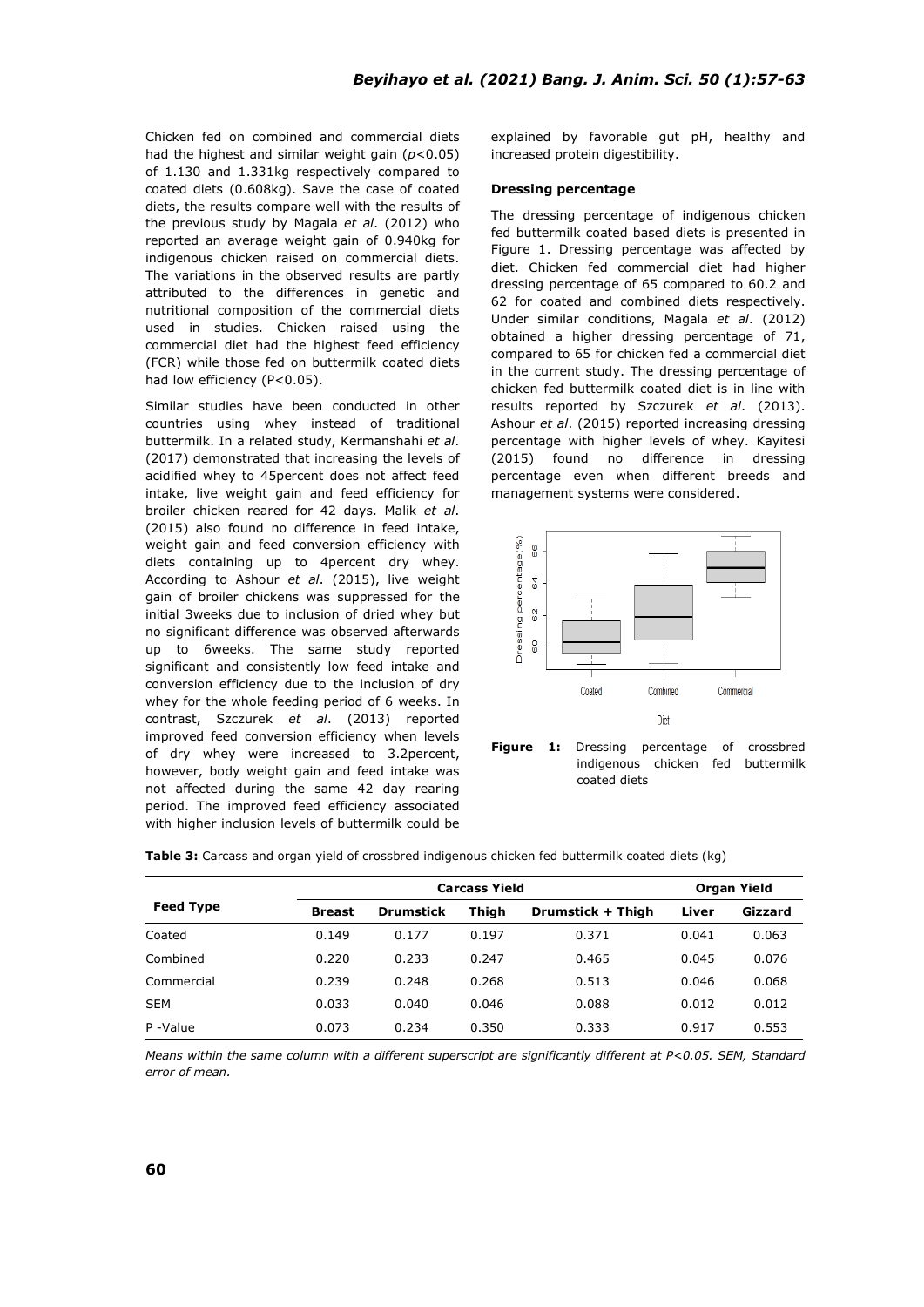Chicken fed on combined and commercial diets had the highest and similar weight gain (*p*<0.05) of 1.130 and 1.331kg respectively compared to coated diets (0.608kg). Save the case of coated diets, the results compare well with the results of the previous study by Magala *et al*. (2012) who reported an average weight gain of 0.940kg for indigenous chicken raised on commercial diets. The variations in the observed results are partly attributed to the differences in genetic and nutritional composition of the commercial diets used in studies. Chicken raised using the commercial diet had the highest feed efficiency (FCR) while those fed on buttermilk coated diets had low efficiency (P<0.05).

Similar studies have been conducted in other countries using whey instead of traditional buttermilk. In a related study, Kermanshahi *et al*. (2017) demonstrated that increasing the levels of acidified whey to 45percent does not affect feed intake, live weight gain and feed efficiency for broiler chicken reared for 42 days. Malik *et al*. (2015) also found no difference in feed intake, weight gain and feed conversion efficiency with diets containing up to 4percent dry whey. According to Ashour *et al*. (2015), live weight gain of broiler chickens was suppressed for the initial 3weeks due to inclusion of dried whey but no significant difference was observed afterwards up to 6weeks. The same study reported significant and consistently low feed intake and conversion efficiency due to the inclusion of dry whey for the whole feeding period of 6 weeks. In contrast, Szczurek *et al*. (2013) reported improved feed conversion efficiency when levels of dry whey were increased to 3.2percent, however, body weight gain and feed intake was not affected during the same 42 day rearing period. The improved feed efficiency associated with higher inclusion levels of buttermilk could be explained by favorable gut pH, healthy and increased protein digestibility.

#### **Dressing percentage**

The dressing percentage of indigenous chicken fed buttermilk coated based diets is presented in Figure 1. Dressing percentage was affected by diet. Chicken fed commercial diet had higher dressing percentage of 65 compared to 60.2 and 62 for coated and combined diets respectively. Under similar conditions, Magala *et al*. (2012) obtained a higher dressing percentage of 71, compared to 65 for chicken fed a commercial diet in the current study. The dressing percentage of chicken fed buttermilk coated diet is in line with results reported by Szczurek *et al*. (2013). Ashour *et al*. (2015) reported increasing dressing percentage with higher levels of whey. Kayitesi (2015) found no difference in dressing percentage even when different breeds and management systems were considered.





|                  | <b>Carcass Yield</b> |                  |       |                   |       | Organ Yield |  |
|------------------|----------------------|------------------|-------|-------------------|-------|-------------|--|
| <b>Feed Type</b> | <b>Breast</b>        | <b>Drumstick</b> | Thigh | Drumstick + Thigh | Liver | Gizzard     |  |
| Coated           | 0.149                | 0.177            | 0.197 | 0.371             | 0.041 | 0.063       |  |
| Combined         | 0.220                | 0.233            | 0.247 | 0.465             | 0.045 | 0.076       |  |
| Commercial       | 0.239                | 0.248            | 0.268 | 0.513             | 0.046 | 0.068       |  |
| <b>SEM</b>       | 0.033                | 0.040            | 0.046 | 0.088             | 0.012 | 0.012       |  |
| P-Value          | 0.073                | 0.234            | 0.350 | 0.333             | 0.917 | 0.553       |  |

**Table 3:** Carcass and organ yield of crossbred indigenous chicken fed buttermilk coated diets (kg)

*Means within the same column with a different superscript are significantly different at P<0.05. SEM, Standard error of mean.*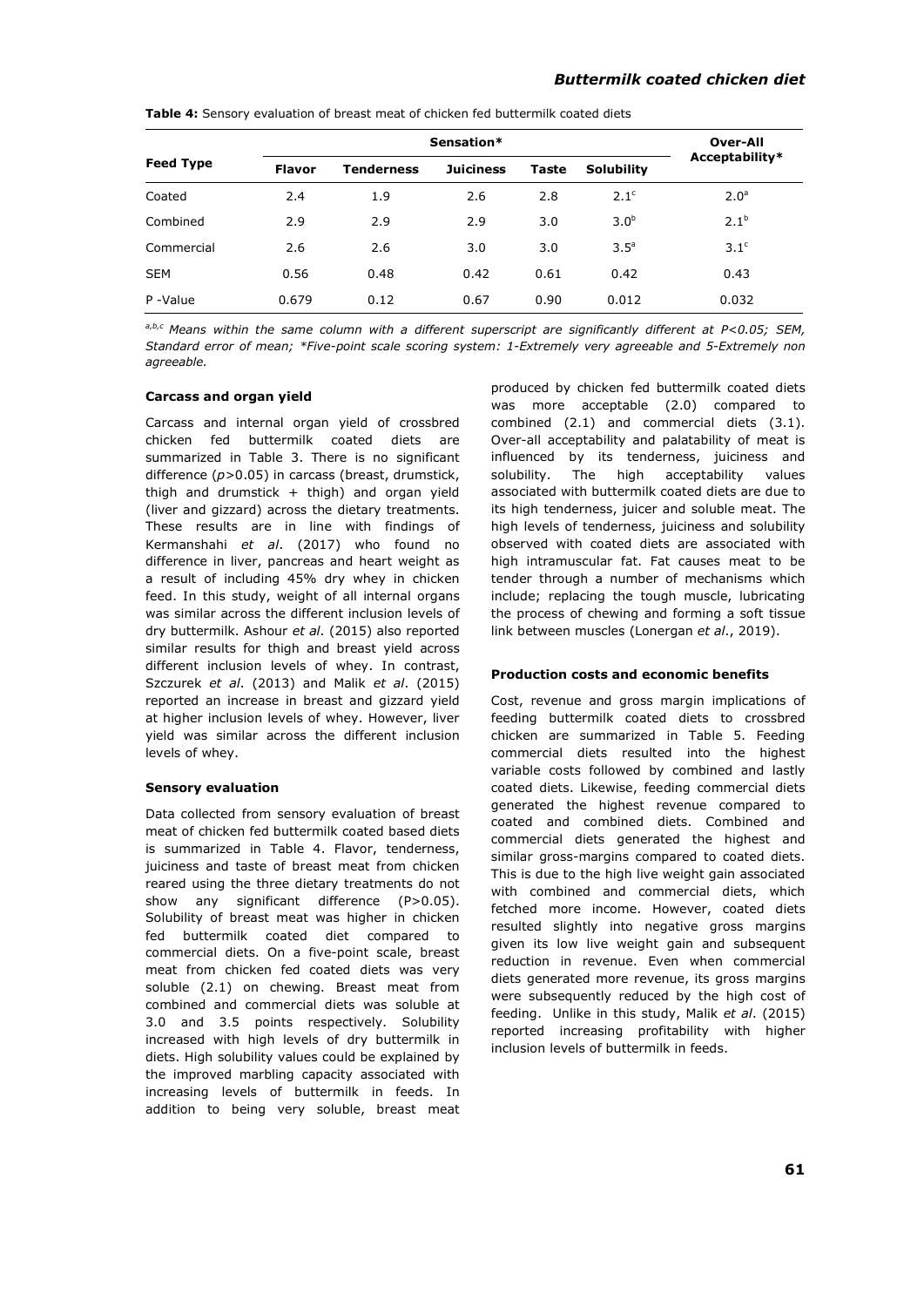|                  |               | Sensation*        |                  |       |                   |                  |  |
|------------------|---------------|-------------------|------------------|-------|-------------------|------------------|--|
| <b>Feed Type</b> | <b>Flavor</b> | <b>Tenderness</b> | <b>Juiciness</b> | Taste | <b>Solubility</b> | Acceptability*   |  |
| Coated           | 2.4           | 1.9               | 2.6              | 2.8   | 2.1 <sup>c</sup>  | 2.0 <sup>a</sup> |  |
| Combined         | 2.9           | 2.9               | 2.9              | 3.0   | 3.0 <sup>b</sup>  | $2.1^{b}$        |  |
| Commercial       | 2.6           | 2.6               | 3.0              | 3.0   | 3.5 <sup>a</sup>  | 3.1 <sup>c</sup> |  |
| <b>SEM</b>       | 0.56          | 0.48              | 0.42             | 0.61  | 0.42              | 0.43             |  |
| P-Value          | 0.679         | 0.12              | 0.67             | 0.90  | 0.012             | 0.032            |  |

**Table 4:** Sensory evaluation of breast meat of chicken fed buttermilk coated diets

*a,b,c Means within the same column with a different superscript are significantly different at P<0.05; SEM, Standard error of mean; \*Five-point scale scoring system: 1-Extremely very agreeable and 5-Extremely non agreeable.* 

# **Carcass and organ yield**

Carcass and internal organ yield of crossbred chicken fed buttermilk coated diets are summarized in Table 3. There is no significant difference (*p*>0.05) in carcass (breast, drumstick, thigh and drumstick  $+$  thigh) and organ yield (liver and gizzard) across the dietary treatments. These results are in line with findings of Kermanshahi *et al*. (2017) who found no difference in liver, pancreas and heart weight as a result of including 45% dry whey in chicken feed. In this study, weight of all internal organs was similar across the different inclusion levels of dry buttermilk. Ashour *et al*. (2015) also reported similar results for thigh and breast yield across different inclusion levels of whey. In contrast, Szczurek *et al*. (2013) and Malik *et al*. (2015) reported an increase in breast and gizzard yield at higher inclusion levels of whey. However, liver yield was similar across the different inclusion levels of whey.

#### **Sensory evaluation**

Data collected from sensory evaluation of breast meat of chicken fed buttermilk coated based diets is summarized in Table 4. Flavor, tenderness, juiciness and taste of breast meat from chicken reared using the three dietary treatments do not show any significant difference (P>0.05). Solubility of breast meat was higher in chicken fed buttermilk coated diet compared to commercial diets. On a five-point scale, breast meat from chicken fed coated diets was very soluble (2.1) on chewing. Breast meat from combined and commercial diets was soluble at 3.0 and 3.5 points respectively. Solubility increased with high levels of dry buttermilk in diets. High solubility values could be explained by the improved marbling capacity associated with increasing levels of buttermilk in feeds. In addition to being very soluble, breast meat produced by chicken fed buttermilk coated diets was more acceptable (2.0) compared to combined (2.1) and commercial diets (3.1). Over-all acceptability and palatability of meat is influenced by its tenderness, juiciness and solubility. The high acceptability values associated with buttermilk coated diets are due to its high tenderness, juicer and soluble meat. The high levels of tenderness, juiciness and solubility observed with coated diets are associated with high intramuscular fat. Fat causes meat to be tender through a number of mechanisms which include; replacing the tough muscle, lubricating the process of chewing and forming a soft tissue link between muscles (Lonergan *et al*., 2019).

#### **Production costs and economic benefits**

Cost, revenue and gross margin implications of feeding buttermilk coated diets to crossbred chicken are summarized in Table 5. Feeding commercial diets resulted into the highest variable costs followed by combined and lastly coated diets. Likewise, feeding commercial diets generated the highest revenue compared to coated and combined diets. Combined and commercial diets generated the highest and similar gross-margins compared to coated diets. This is due to the high live weight gain associated with combined and commercial diets, which fetched more income. However, coated diets resulted slightly into negative gross margins given its low live weight gain and subsequent reduction in revenue. Even when commercial diets generated more revenue, its gross margins were subsequently reduced by the high cost of feeding. Unlike in this study, Malik *et al*. (2015) reported increasing profitability with higher inclusion levels of buttermilk in feeds.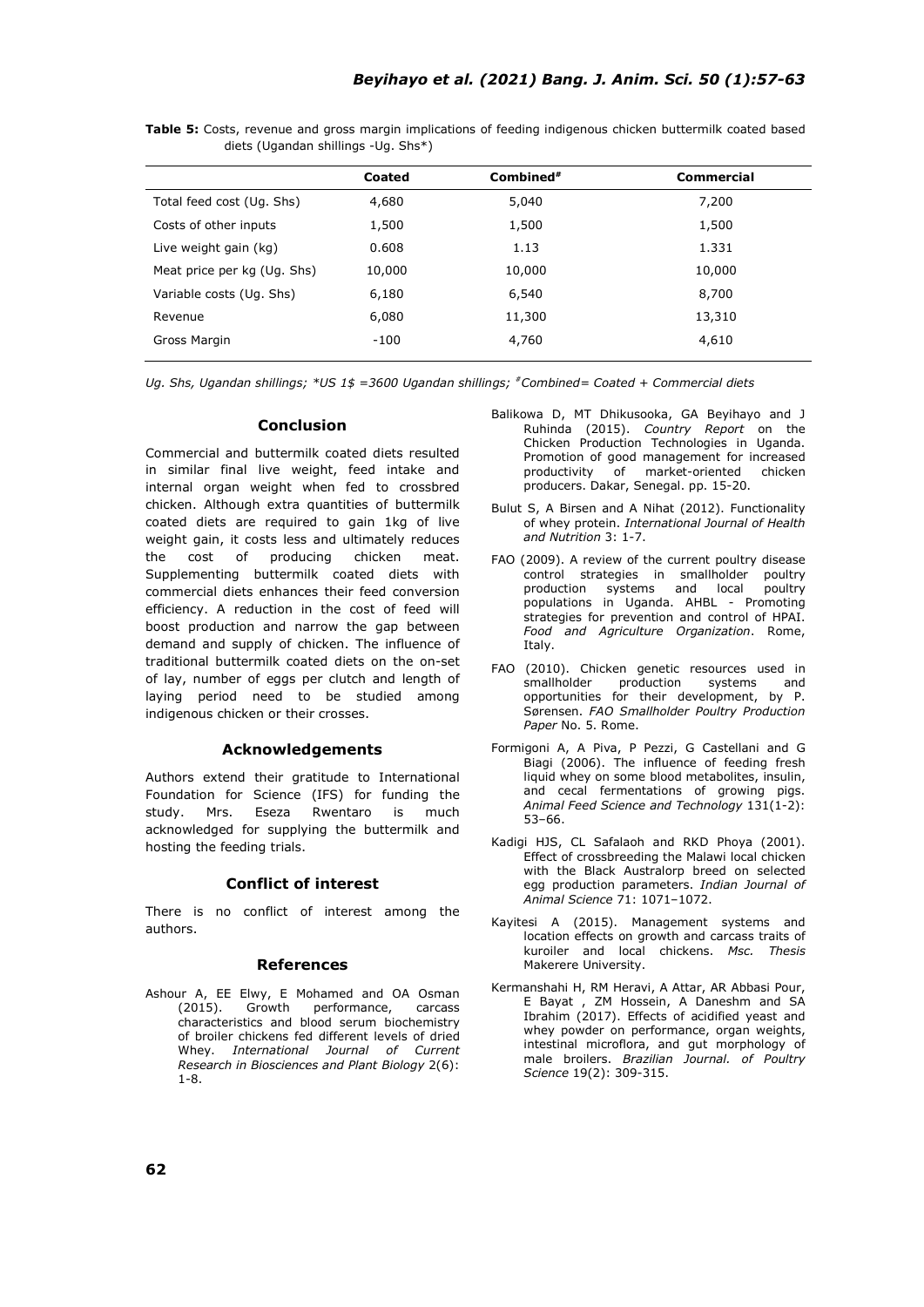|                             | Coated | $Combined*$ | <b>Commercial</b> |
|-----------------------------|--------|-------------|-------------------|
| Total feed cost (Ug. Shs)   | 4,680  | 5,040       | 7,200             |
| Costs of other inputs       | 1,500  | 1,500       | 1,500             |
| Live weight gain (kg)       | 0.608  | 1.13        | 1.331             |
| Meat price per kg (Ug. Shs) | 10,000 | 10,000      | 10,000            |
| Variable costs (Ug. Shs)    | 6,180  | 6,540       | 8,700             |
| Revenue                     | 6,080  | 11,300      | 13,310            |
| Gross Margin                | -100   | 4,760       | 4,610             |
|                             |        |             |                   |

**Table 5:** Costs, revenue and gross margin implications of feeding indigenous chicken buttermilk coated based diets (Ugandan shillings -Ug. Shs\*)

*Ug. Shs, Ugandan shillings; \*US 1\$ =3600 Ugandan shillings; #Combined= Coated + Commercial diets*

#### **Conclusion**

Commercial and buttermilk coated diets resulted in similar final live weight, feed intake and internal organ weight when fed to crossbred chicken. Although extra quantities of buttermilk coated diets are required to gain 1kg of live weight gain, it costs less and ultimately reduces the cost of producing chicken meat. Supplementing buttermilk coated diets with commercial diets enhances their feed conversion efficiency. A reduction in the cost of feed will boost production and narrow the gap between demand and supply of chicken. The influence of traditional buttermilk coated diets on the on-set of lay, number of eggs per clutch and length of laying period need to be studied among indigenous chicken or their crosses.

#### **Acknowledgements**

Authors extend their gratitude to International Foundation for Science (IFS) for funding the study. Mrs. Eseza Rwentaro is much acknowledged for supplying the buttermilk and hosting the feeding trials.

#### **Conflict of interest**

There is no conflict of interest among the authors.

# **References**

Ashour A, EE Elwy, E Mohamed and OA Osman (2015). Growth performance, carcass characteristics and blood serum biochemistry of broiler chickens fed different levels of dried Whey. *International Journal of Current Research in Biosciences and Plant Biology* 2(6): 1-8.

- Balikowa D, MT Dhikusooka, GA Beyihayo and J Ruhinda (2015). *Country Report* on the Chicken Production Technologies in Uganda. Promotion of good management for increased<br>productivity of market-oriented chicken productivity of market-oriented producers. Dakar, Senegal. pp. 15-20.
- Bulut S, A Birsen and A Nihat (2012). Functionality of whey protein. *International Journal of Health and Nutrition* 3: 1-7.
- FAO (2009). A review of the current poultry disease control strategies in smallholder poultry production systems and local poultry populations in Uganda. AHBL - Promoting strategies for prevention and control of HPAI. *Food and Agriculture Organization*. Rome, Italy.
- FAO (2010). Chicken genetic resources used in smallholder production systems and opportunities for their development, by P. Sørensen. *FAO Smallholder Poultry Production Paper* No. 5. Rome.
- Formigoni A, A Piva, P Pezzi, G Castellani and G Biagi (2006). The influence of feeding fresh liquid whey on some blood metabolites, insulin, and cecal fermentations of growing pigs. *Animal Feed Science and Technology* 131(1-2): 53–66.
- Kadigi HJS, CL Safalaoh and RKD Phoya (2001). Effect of crossbreeding the Malawi local chicken with the Black Australorp breed on selected egg production parameters. *Indian Journal of Animal Science* 71: 1071–1072.
- Kayitesi A (2015). Management systems and location effects on growth and carcass traits of kuroiler and local chickens. *Msc. Thesis* Makerere University.
- Kermanshahi H, RM Heravi, A Attar, AR Abbasi Pour, E Bayat , ZM Hossein, A Daneshm and SA Ibrahim (2017). Effects of acidified yeast and whey powder on performance, organ weights, intestinal microflora, and gut morphology of male broilers. *Brazilian Journal. of Poultry Science* 19(2): 309-315.